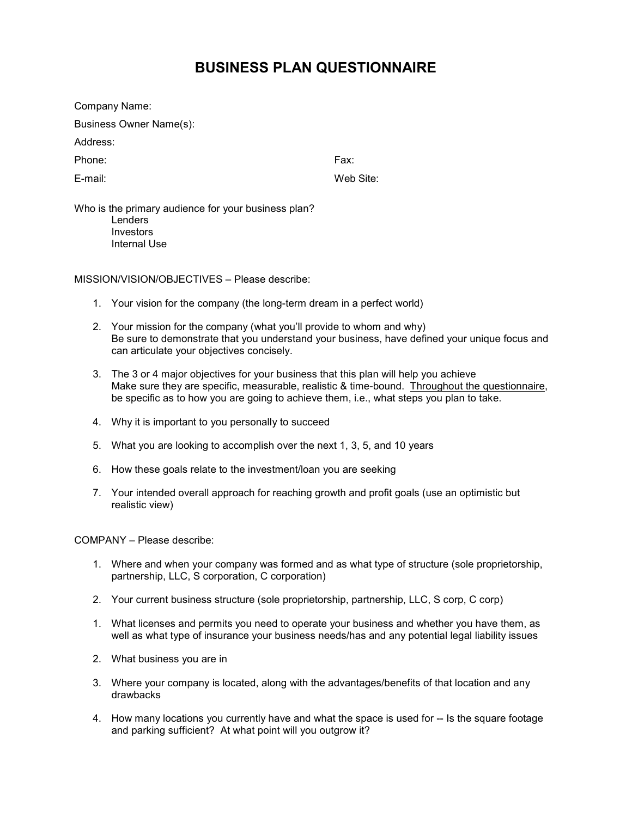# **BUSINESS PLAN QUESTIONNAIRE**

Company Name:

Business Owner Name(s):

Address:

Phone: Fax:

E-mail: Web Site:

Who is the primary audience for your business plan? **Lenders Investors** Internal Use

MISSION/VISION/OBJECTIVES – Please describe:

- 1. Your vision for the company (the long-term dream in a perfect world)
- 2. Your mission for the company (what you'll provide to whom and why) Be sure to demonstrate that you understand your business, have defined your unique focus and can articulate your objectives concisely.
- 3. The 3 or 4 major objectives for your business that this plan will help you achieve Make sure they are specific, measurable, realistic & time-bound. Throughout the questionnaire, be specific as to how you are going to achieve them, i.e., what steps you plan to take.
- 4. Why it is important to you personally to succeed
- 5. What you are looking to accomplish over the next 1, 3, 5, and 10 years
- 6. How these goals relate to the investment/loan you are seeking
- 7. Your intended overall approach for reaching growth and profit goals (use an optimistic but realistic view)

COMPANY – Please describe:

- 1. Where and when your company was formed and as what type of structure (sole proprietorship, partnership, LLC, S corporation, C corporation)
- 2. Your current business structure (sole proprietorship, partnership, LLC, S corp, C corp)
- 1. What licenses and permits you need to operate your business and whether you have them, as well as what type of insurance your business needs/has and any potential legal liability issues
- 2. What business you are in
- 3. Where your company is located, along with the advantages/benefits of that location and any drawbacks
- 4. How many locations you currently have and what the space is used for -- Is the square footage and parking sufficient? At what point will you outgrow it?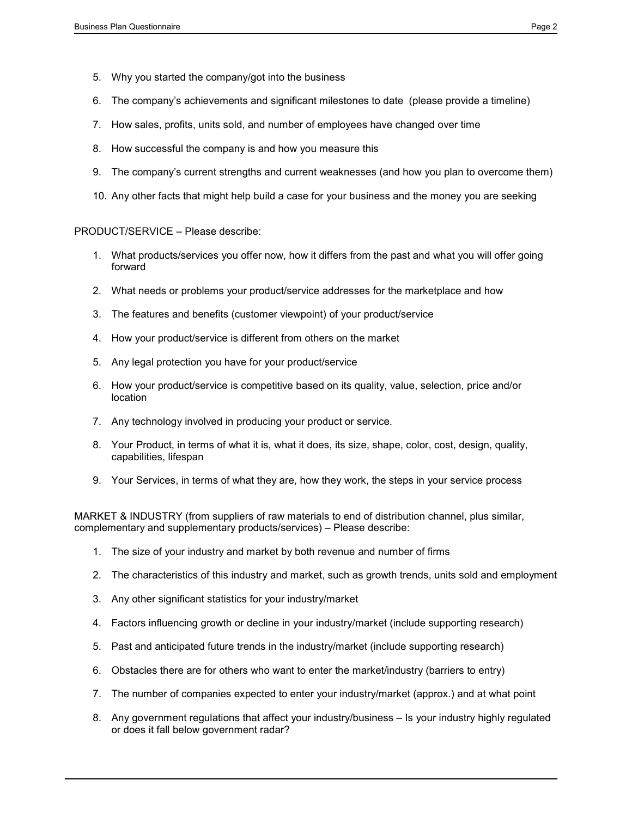- 5. Why you started the company/got into the business
- 6. The company's achievements and significant milestones to date (please provide a timeline)
- 7. How sales, profits, units sold, and number of employees have changed over time
- 8. How successful the company is and how you measure this
- 9. The company's current strengths and current weaknesses (and how you plan to overcome them)
- 10. Any other facts that might help build a case for your business and the money you are seeking

### PRODUCT/SERVICE – Please describe:

- 1. What products/services you offer now, how it differs from the past and what you will offer going forward
- 2. What needs or problems your product/service addresses for the marketplace and how
- 3. The features and benefits (customer viewpoint) of your product/service
- 4. How your product/service is different from others on the market
- 5. Any legal protection you have for your product/service
- 6. How your product/service is competitive based on its quality, value, selection, price and/or location
- 7. Any technology involved in producing your product or service.
- 8. Your Product, in terms of what it is, what it does, its size, shape, color, cost, design, quality, capabilities, lifespan
- 9. Your Services, in terms of what they are, how they work, the steps in your service process

MARKET & INDUSTRY (from suppliers of raw materials to end of distribution channel, plus similar, complementary and supplementary products/services) – Please describe:

- 1. The size of your industry and market by both revenue and number of firms
- 2. The characteristics of this industry and market, such as growth trends, units sold and employment
- 3. Any other significant statistics for your industry/market
- 4. Factors influencing growth or decline in your industry/market (include supporting research)
- 5. Past and anticipated future trends in the industry/market (include supporting research)
- 6. Obstacles there are for others who want to enter the market/industry (barriers to entry)
- 7. The number of companies expected to enter your industry/market (approx.) and at what point
- 8. Any government regulations that affect your industry/business Is your industry highly regulated or does it fall below government radar?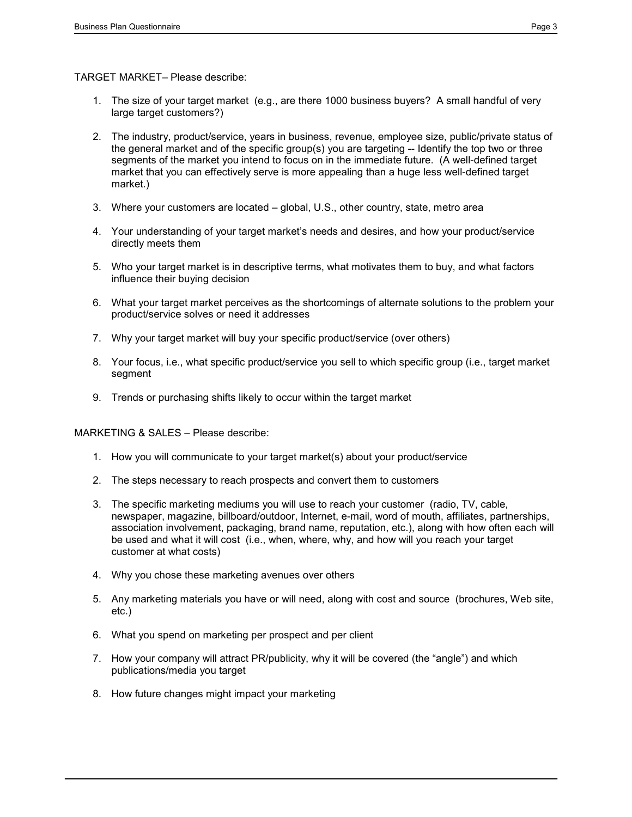TARGET MARKET– Please describe:

- 1. The size of your target market (e.g., are there 1000 business buyers? A small handful of very large target customers?)
- 2. The industry, product/service, years in business, revenue, employee size, public/private status of the general market and of the specific group(s) you are targeting -- Identify the top two or three segments of the market you intend to focus on in the immediate future. (A well-defined target market that you can effectively serve is more appealing than a huge less well-defined target market.)
- 3. Where your customers are located global, U.S., other country, state, metro area
- 4. Your understanding of your target market's needs and desires, and how your product/service directly meets them
- 5. Who your target market is in descriptive terms, what motivates them to buy, and what factors influence their buying decision
- 6. What your target market perceives as the shortcomings of alternate solutions to the problem your product/service solves or need it addresses
- 7. Why your target market will buy your specific product/service (over others)
- 8. Your focus, i.e., what specific product/service you sell to which specific group (i.e., target market segment
- 9. Trends or purchasing shifts likely to occur within the target market

MARKETING & SALES – Please describe:

- 1. How you will communicate to your target market(s) about your product/service
- 2. The steps necessary to reach prospects and convert them to customers
- 3. The specific marketing mediums you will use to reach your customer (radio, TV, cable, newspaper, magazine, billboard/outdoor, Internet, e-mail, word of mouth, affiliates, partnerships, association involvement, packaging, brand name, reputation, etc.), along with how often each will be used and what it will cost (i.e., when, where, why, and how will you reach your target customer at what costs)
- 4. Why you chose these marketing avenues over others
- 5. Any marketing materials you have or will need, along with cost and source (brochures, Web site, etc.)
- 6. What you spend on marketing per prospect and per client
- 7. How your company will attract PR/publicity, why it will be covered (the "angle") and which publications/media you target
- 8. How future changes might impact your marketing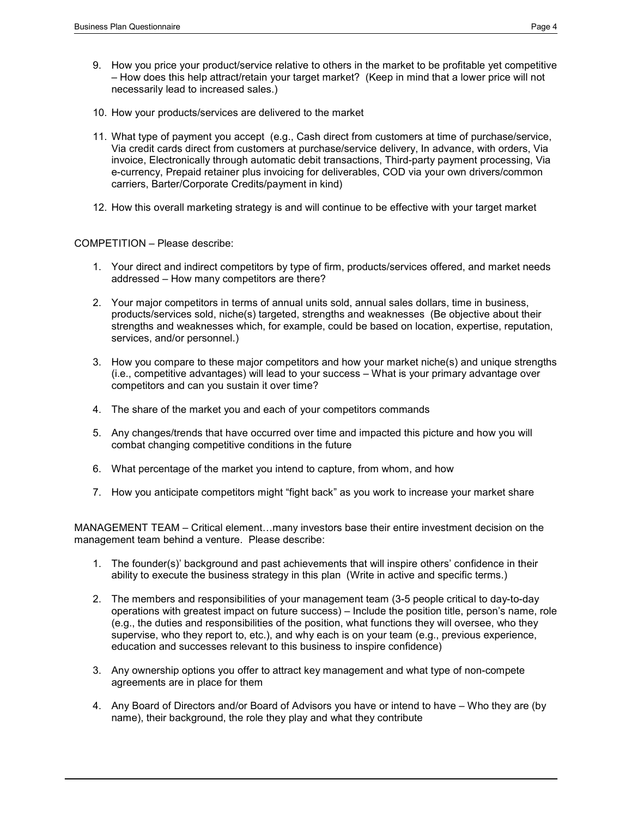- 9. How you price your product/service relative to others in the market to be profitable yet competitive – How does this help attract/retain your target market? (Keep in mind that a lower price will not necessarily lead to increased sales.)
- 10. How your products/services are delivered to the market
- 11. What type of payment you accept (e.g., Cash direct from customers at time of purchase/service, Via credit cards direct from customers at purchase/service delivery, In advance, with orders, Via invoice, Electronically through automatic debit transactions, Third-party payment processing, Via e-currency, Prepaid retainer plus invoicing for deliverables, COD via your own drivers/common carriers, Barter/Corporate Credits/payment in kind)
- 12. How this overall marketing strategy is and will continue to be effective with your target market

COMPETITION – Please describe:

- 1. Your direct and indirect competitors by type of firm, products/services offered, and market needs addressed – How many competitors are there?
- 2. Your major competitors in terms of annual units sold, annual sales dollars, time in business, products/services sold, niche(s) targeted, strengths and weaknesses (Be objective about their strengths and weaknesses which, for example, could be based on location, expertise, reputation, services, and/or personnel.)
- 3. How you compare to these major competitors and how your market niche(s) and unique strengths (i.e., competitive advantages) will lead to your success – What is your primary advantage over competitors and can you sustain it over time?
- 4. The share of the market you and each of your competitors commands
- 5. Any changes/trends that have occurred over time and impacted this picture and how you will combat changing competitive conditions in the future
- 6. What percentage of the market you intend to capture, from whom, and how
- 7. How you anticipate competitors might "fight back" as you work to increase your market share

MANAGEMENT TEAM – Critical element...many investors base their entire investment decision on the management team behind a venture. Please describe:

- 1. The founder(s)' background and past achievements that will inspire others' confidence in their ability to execute the business strategy in this plan (Write in active and specific terms.)
- 2. The members and responsibilities of your management team (3-5 people critical to day-to-day operations with greatest impact on future success) – Include the position title, person's name, role (e.g., the duties and responsibilities of the position, what functions they will oversee, who they supervise, who they report to, etc.), and why each is on your team (e.g., previous experience, education and successes relevant to this business to inspire confidence)
- 3. Any ownership options you offer to attract key management and what type of non-compete agreements are in place for them
- 4. Any Board of Directors and/or Board of Advisors you have or intend to have Who they are (by name), their background, the role they play and what they contribute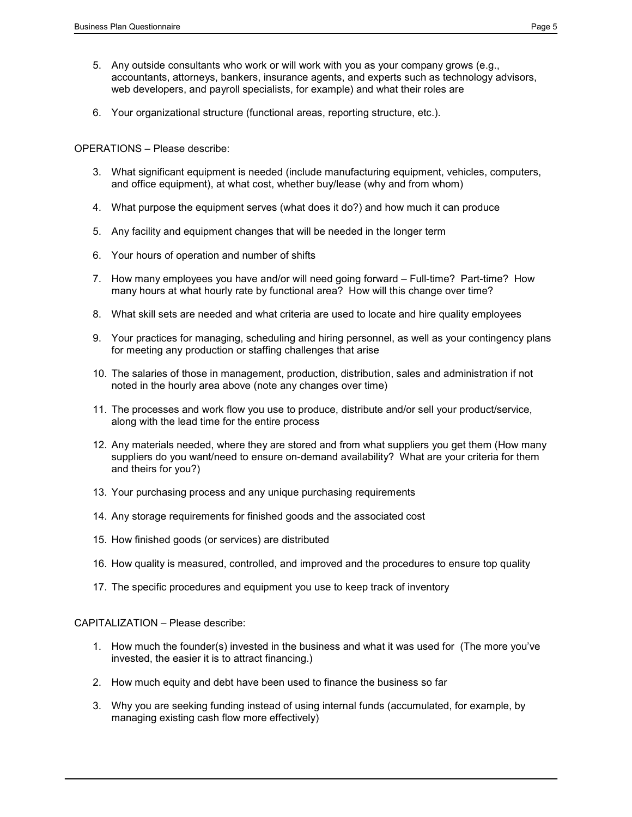- 5. Any outside consultants who work or will work with you as your company grows (e.g., accountants, attorneys, bankers, insurance agents, and experts such as technology advisors, web developers, and payroll specialists, for example) and what their roles are
- 6. Your organizational structure (functional areas, reporting structure, etc.).

OPERATIONS – Please describe:

- 3. What significant equipment is needed (include manufacturing equipment, vehicles, computers, and office equipment), at what cost, whether buy/lease (why and from whom)
- 4. What purpose the equipment serves (what does it do?) and how much it can produce
- 5. Any facility and equipment changes that will be needed in the longer term
- 6. Your hours of operation and number of shifts
- 7. How many employees you have and/or will need going forward Full-time? Part-time? How many hours at what hourly rate by functional area? How will this change over time?
- 8. What skill sets are needed and what criteria are used to locate and hire quality employees
- 9. Your practices for managing, scheduling and hiring personnel, as well as your contingency plans for meeting any production or staffing challenges that arise
- 10. The salaries of those in management, production, distribution, sales and administration if not noted in the hourly area above (note any changes over time)
- 11. The processes and work flow you use to produce, distribute and/or sell your product/service, along with the lead time for the entire process
- 12. Any materials needed, where they are stored and from what suppliers you get them (How many suppliers do you want/need to ensure on-demand availability? What are your criteria for them and theirs for you?)
- 13. Your purchasing process and any unique purchasing requirements
- 14. Any storage requirements for finished goods and the associated cost
- 15. How finished goods (or services) are distributed
- 16. How quality is measured, controlled, and improved and the procedures to ensure top quality
- 17. The specific procedures and equipment you use to keep track of inventory

### CAPITALIZATION – Please describe:

- 1. How much the founder(s) invested in the business and what it was used for (The more you've invested, the easier it is to attract financing.)
- 2. How much equity and debt have been used to finance the business so far
- 3. Why you are seeking funding instead of using internal funds (accumulated, for example, by managing existing cash flow more effectively)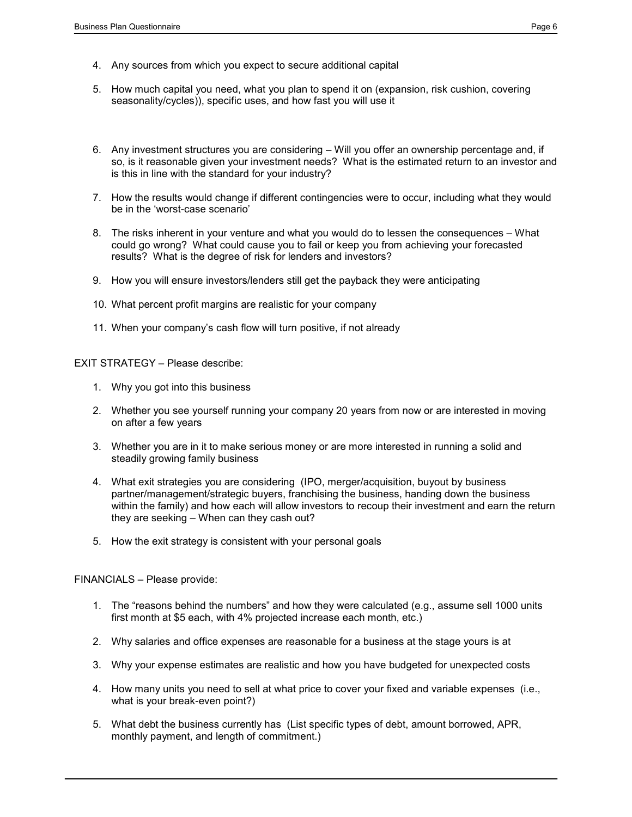- 4. Any sources from which you expect to secure additional capital
- 5. How much capital you need, what you plan to spend it on (expansion, risk cushion, covering seasonality/cycles)), specific uses, and how fast you will use it
- 6. Any investment structures you are considering Will you offer an ownership percentage and, if so, is it reasonable given your investment needs? What is the estimated return to an investor and is this in line with the standard for your industry?
- 7. How the results would change if different contingencies were to occur, including what they would be in the 'worst-case scenario'
- 8. The risks inherent in your venture and what you would do to lessen the consequences What could go wrong? What could cause you to fail or keep you from achieving your forecasted results? What is the degree of risk for lenders and investors?
- 9. How you will ensure investors/lenders still get the payback they were anticipating
- 10. What percent profit margins are realistic for your company
- 11. When your company's cash flow will turn positive, if not already

EXIT STRATEGY – Please describe:

- 1. Why you got into this business
- 2. Whether you see yourself running your company 20 years from now or are interested in moving on after a few years
- 3. Whether you are in it to make serious money or are more interested in running a solid and steadily growing family business
- 4. What exit strategies you are considering (IPO, merger/acquisition, buyout by business partner/management/strategic buyers, franchising the business, handing down the business within the family) and how each will allow investors to recoup their investment and earn the return they are seeking – When can they cash out?
- 5. How the exit strategy is consistent with your personal goals

FINANCIALS – Please provide:

- 1. The "reasons behind the numbers" and how they were calculated (e.g., assume sell 1000 units first month at \$5 each, with 4% projected increase each month, etc.)
- 2. Why salaries and office expenses are reasonable for a business at the stage yours is at
- 3. Why your expense estimates are realistic and how you have budgeted for unexpected costs
- 4. How many units you need to sell at what price to cover your fixed and variable expenses (i.e., what is your break-even point?)
- 5. What debt the business currently has (List specific types of debt, amount borrowed, APR, monthly payment, and length of commitment.)